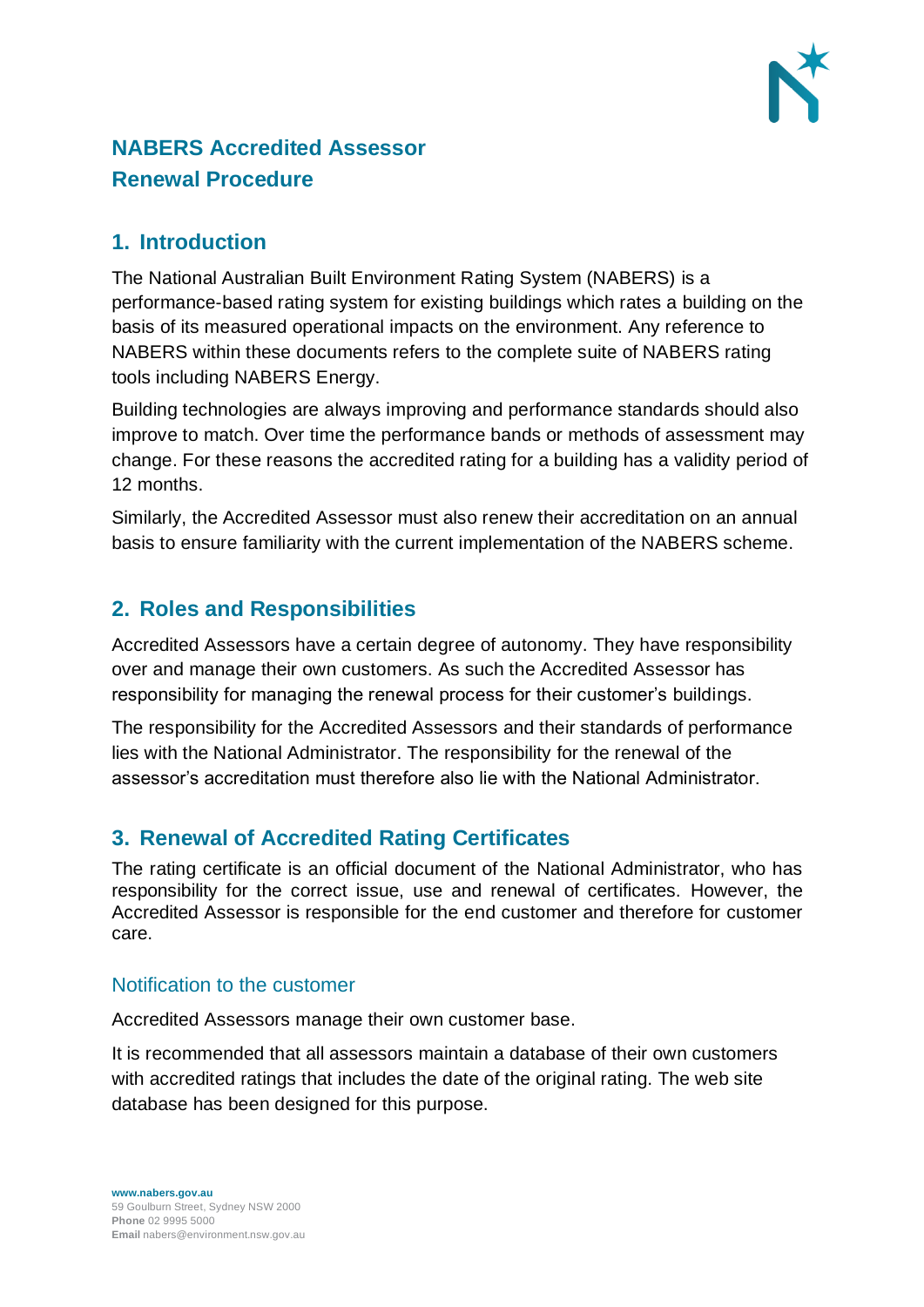

# **NABERS Accredited Assessor Renewal Procedure**

### **1. Introduction**

The National Australian Built Environment Rating System (NABERS) is a performance-based rating system for existing buildings which rates a building on the basis of its measured operational impacts on the environment. Any reference to NABERS within these documents refers to the complete suite of NABERS rating tools including NABERS Energy.

Building technologies are always improving and performance standards should also improve to match. Over time the performance bands or methods of assessment may change. For these reasons the accredited rating for a building has a validity period of 12 months.

Similarly, the Accredited Assessor must also renew their accreditation on an annual basis to ensure familiarity with the current implementation of the NABERS scheme.

# **2. Roles and Responsibilities**

Accredited Assessors have a certain degree of autonomy. They have responsibility over and manage their own customers. As such the Accredited Assessor has responsibility for managing the renewal process for their customer's buildings.

The responsibility for the Accredited Assessors and their standards of performance lies with the National Administrator. The responsibility for the renewal of the assessor's accreditation must therefore also lie with the National Administrator.

# **3. Renewal of Accredited Rating Certificates**

The rating certificate is an official document of the National Administrator, who has responsibility for the correct issue, use and renewal of certificates. However, the Accredited Assessor is responsible for the end customer and therefore for customer care.

#### Notification to the customer

Accredited Assessors manage their own customer base.

It is recommended that all assessors maintain a database of their own customers with accredited ratings that includes the date of the original rating. The web site database has been designed for this purpose.